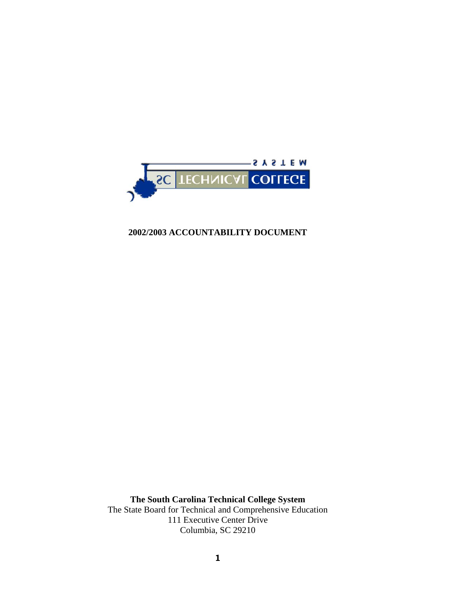

## **2002/2003 ACCOUNTABILITY DOCUMENT**

**The South Carolina Technical College System** The State Board for Technical and Comprehensive Education 111 Executive Center Drive Columbia, SC 29210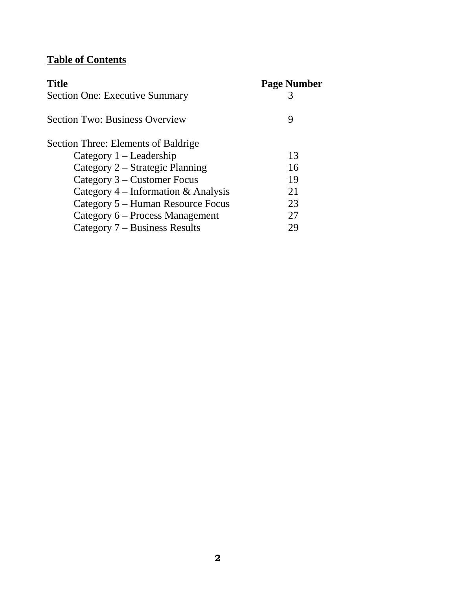# **Table of Contents**

| <b>Title</b>                          | <b>Page Number</b> |
|---------------------------------------|--------------------|
| <b>Section One: Executive Summary</b> |                    |
| <b>Section Two: Business Overview</b> | 9                  |
| Section Three: Elements of Baldrige   |                    |
| Category $1 -$ Leadership             | 13                 |
| Category 2 – Strategic Planning       | 16                 |
| Category $3$ – Customer Focus         | 19                 |
| Category $4$ – Information & Analysis | 21                 |
| Category 5 – Human Resource Focus     | 23                 |
| Category 6 – Process Management       | 27                 |
| Category 7 – Business Results         | 29                 |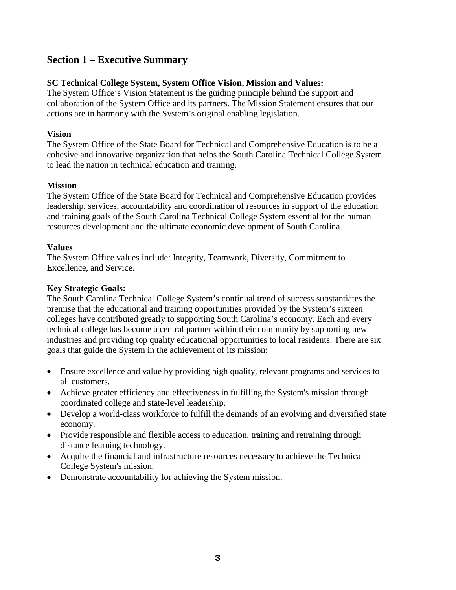# **Section 1 – Executive Summary**

#### **SC Technical College System, System Office Vision, Mission and Values:**

The System Office's Vision Statement is the guiding principle behind the support and collaboration of the System Office and its partners. The Mission Statement ensures that our actions are in harmony with the System's original enabling legislation.

#### **Vision**

The System Office of the State Board for Technical and Comprehensive Education is to be a cohesive and innovative organization that helps the South Carolina Technical College System to lead the nation in technical education and training.

#### **Mission**

The System Office of the State Board for Technical and Comprehensive Education provides leadership, services, accountability and coordination of resources in support of the education and training goals of the South Carolina Technical College System essential for the human resources development and the ultimate economic development of South Carolina.

#### **Values**

The System Office values include: Integrity, Teamwork, Diversity, Commitment to Excellence, and Service.

## **Key Strategic Goals:**

The South Carolina Technical College System's continual trend of success substantiates the premise that the educational and training opportunities provided by the System's sixteen colleges have contributed greatly to supporting South Carolina's economy. Each and every technical college has become a central partner within their community by supporting new industries and providing top quality educational opportunities to local residents. There are six goals that guide the System in the achievement of its mission:

- Ensure excellence and value by providing high quality, relevant programs and services to all customers.
- Achieve greater efficiency and effectiveness in fulfilling the System's mission through coordinated college and state-level leadership.
- Develop a world-class workforce to fulfill the demands of an evolving and diversified state economy.
- Provide responsible and flexible access to education, training and retraining through distance learning technology.
- Acquire the financial and infrastructure resources necessary to achieve the Technical College System's mission.
- Demonstrate accountability for achieving the System mission.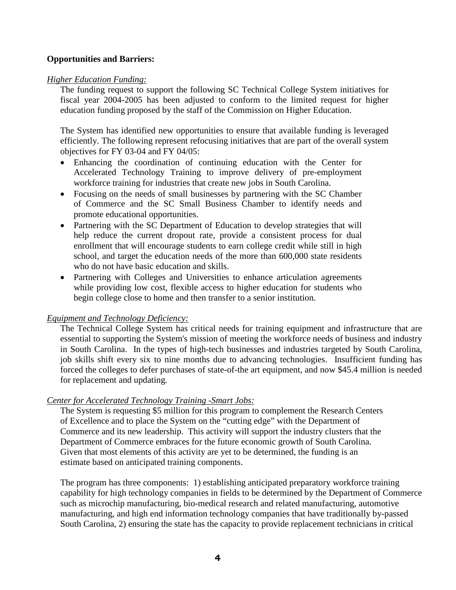#### **Opportunities and Barriers:**

#### *Higher Education Funding:*

The funding request to support the following SC Technical College System initiatives for fiscal year 2004-2005 has been adjusted to conform to the limited request for higher education funding proposed by the staff of the Commission on Higher Education.

The System has identified new opportunities to ensure that available funding is leveraged efficiently. The following represent refocusing initiatives that are part of the overall system objectives for FY 03-04 and FY 04/05:

- Enhancing the coordination of continuing education with the Center for Accelerated Technology Training to improve delivery of pre-employment workforce training for industries that create new jobs in South Carolina.
- Focusing on the needs of small businesses by partnering with the SC Chamber of Commerce and the SC Small Business Chamber to identify needs and promote educational opportunities.
- Partnering with the SC Department of Education to develop strategies that will help reduce the current dropout rate, provide a consistent process for dual enrollment that will encourage students to earn college credit while still in high school, and target the education needs of the more than 600,000 state residents who do not have basic education and skills.
- Partnering with Colleges and Universities to enhance articulation agreements while providing low cost, flexible access to higher education for students who begin college close to home and then transfer to a senior institution.

#### *Equipment and Technology Deficiency:*

The Technical College System has critical needs for training equipment and infrastructure that are essential to supporting the System's mission of meeting the workforce needs of business and industry in South Carolina. In the types of high-tech businesses and industries targeted by South Carolina, job skills shift every six to nine months due to advancing technologies. Insufficient funding has forced the colleges to defer purchases of state-of-the art equipment, and now \$45.4 million is needed for replacement and updating.

#### *Center for Accelerated Technology Training -Smart Jobs:*

The System is requesting \$5 million for this program to complement the Research Centers of Excellence and to place the System on the "cutting edge" with the Department of Commerce and its new leadership. This activity will support the industry clusters that the Department of Commerce embraces for the future economic growth of South Carolina. Given that most elements of this activity are yet to be determined, the funding is an estimate based on anticipated training components.

The program has three components: 1) establishing anticipated preparatory workforce training capability for high technology companies in fields to be determined by the Department of Commerce such as microchip manufacturing, bio-medical research and related manufacturing, automotive manufacturing, and high end information technology companies that have traditionally by-passed South Carolina, 2) ensuring the state has the capacity to provide replacement technicians in critical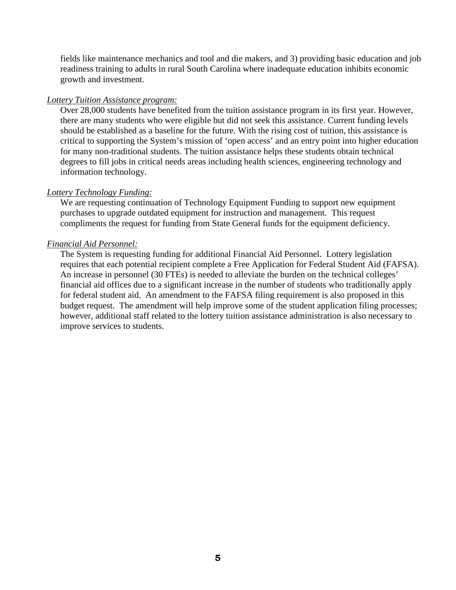fields like maintenance mechanics and tool and die makers, and 3) providing basic education and job readiness training to adults in rural South Carolina where inadequate education inhibits economic growth and investment.

#### *Lottery Tuition Assistance program:*

Over 28,000 students have benefited from the tuition assistance program in its first year. However, there are many students who were eligible but did not seek this assistance. Current funding levels should be established as a baseline for the future. With the rising cost of tuition, this assistance is critical to supporting the System's mission of 'open access' and an entry point into higher education for many non-traditional students. The tuition assistance helps these students obtain technical degrees to fill jobs in critical needs areas including health sciences, engineering technology and information technology.

#### *Lottery Technology Funding:*

We are requesting continuation of Technology Equipment Funding to support new equipment purchases to upgrade outdated equipment for instruction and management. This request compliments the request for funding from State General funds for the equipment deficiency.

#### *Financial Aid Personnel:*

The System is requesting funding for additional Financial Aid Personnel. Lottery legislation requires that each potential recipient complete a Free Application for Federal Student Aid (FAFSA). An increase in personnel (30 FTEs) is needed to alleviate the burden on the technical colleges' financial aid offices due to a significant increase in the number of students who traditionally apply for federal student aid. An amendment to the FAFSA filing requirement is also proposed in this budget request. The amendment will help improve some of the student application filing processes; however, additional staff related to the lottery tuition assistance administration is also necessary to improve services to students.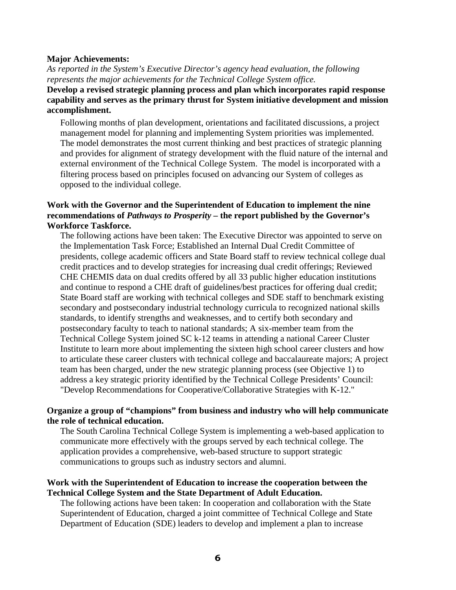#### **Major Achievements:**

#### *As reported in the System's Executive Director's agency head evaluation, the following represents the major achievements for the Technical College System office.*

#### **Develop a revised strategic planning process and plan which incorporates rapid response capability and serves as the primary thrust for System initiative development and mission accomplishment.**

Following months of plan development, orientations and facilitated discussions, a project management model for planning and implementing System priorities was implemented. The model demonstrates the most current thinking and best practices of strategic planning and provides for alignment of strategy development with the fluid nature of the internal and external environment of the Technical College System. The model is incorporated with a filtering process based on principles focused on advancing our System of colleges as opposed to the individual college.

#### **Work with the Governor and the Superintendent of Education to implement the nine recommendations of** *Pathways to Prosperity* **– the report published by the Governor's Workforce Taskforce.**

The following actions have been taken: The Executive Director was appointed to serve on the Implementation Task Force; Established an Internal Dual Credit Committee of presidents, college academic officers and State Board staff to review technical college dual credit practices and to develop strategies for increasing dual credit offerings; Reviewed CHE CHEMIS data on dual credits offered by all 33 public higher education institutions and continue to respond a CHE draft of guidelines/best practices for offering dual credit; State Board staff are working with technical colleges and SDE staff to benchmark existing secondary and postsecondary industrial technology curricula to recognized national skills standards, to identify strengths and weaknesses, and to certify both secondary and postsecondary faculty to teach to national standards; A six-member team from the Technical College System joined SC k-12 teams in attending a national Career Cluster Institute to learn more about implementing the sixteen high school career clusters and how to articulate these career clusters with technical college and baccalaureate majors; A project team has been charged, under the new strategic planning process (see Objective 1) to address a key strategic priority identified by the Technical College Presidents' Council: "Develop Recommendations for Cooperative/Collaborative Strategies with K-12."

#### **Organize a group of "champions" from business and industry who will help communicate the role of technical education.**

The South Carolina Technical College System is implementing a web-based application to communicate more effectively with the groups served by each technical college. The application provides a comprehensive, web-based structure to support strategic communications to groups such as industry sectors and alumni.

#### **Work with the Superintendent of Education to increase the cooperation between the Technical College System and the State Department of Adult Education.**

The following actions have been taken: In cooperation and collaboration with the State Superintendent of Education, charged a joint committee of Technical College and State Department of Education (SDE) leaders to develop and implement a plan to increase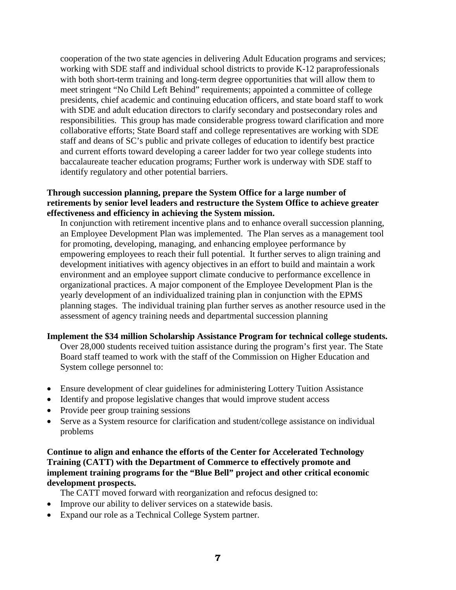cooperation of the two state agencies in delivering Adult Education programs and services; working with SDE staff and individual school districts to provide K-12 paraprofessionals with both short-term training and long-term degree opportunities that will allow them to meet stringent "No Child Left Behind" requirements; appointed a committee of college presidents, chief academic and continuing education officers, and state board staff to work with SDE and adult education directors to clarify secondary and postsecondary roles and responsibilities. This group has made considerable progress toward clarification and more collaborative efforts; State Board staff and college representatives are working with SDE staff and deans of SC's public and private colleges of education to identify best practice and current efforts toward developing a career ladder for two year college students into baccalaureate teacher education programs; Further work is underway with SDE staff to identify regulatory and other potential barriers.

#### **Through succession planning, prepare the System Office for a large number of retirements by senior level leaders and restructure the System Office to achieve greater effectiveness and efficiency in achieving the System mission.**

In conjunction with retirement incentive plans and to enhance overall succession planning, an Employee Development Plan was implemented. The Plan serves as a management tool for promoting, developing, managing, and enhancing employee performance by empowering employees to reach their full potential. It further serves to align training and development initiatives with agency objectives in an effort to build and maintain a work environment and an employee support climate conducive to performance excellence in organizational practices. A major component of the Employee Development Plan is the yearly development of an individualized training plan in conjunction with the EPMS planning stages. The individual training plan further serves as another resource used in the assessment of agency training needs and departmental succession planning

#### **Implement the \$34 million Scholarship Assistance Program for technical college students.**

Over 28,000 students received tuition assistance during the program's first year. The State Board staff teamed to work with the staff of the Commission on Higher Education and System college personnel to:

- Ensure development of clear guidelines for administering Lottery Tuition Assistance
- Identify and propose legislative changes that would improve student access
- Provide peer group training sessions
- Serve as a System resource for clarification and student/college assistance on individual problems

#### **Continue to align and enhance the efforts of the Center for Accelerated Technology Training (CATT) with the Department of Commerce to effectively promote and implement training programs for the "Blue Bell" project and other critical economic development prospects.**

The CATT moved forward with reorganization and refocus designed to:

- Improve our ability to deliver services on a statewide basis.
- Expand our role as a Technical College System partner.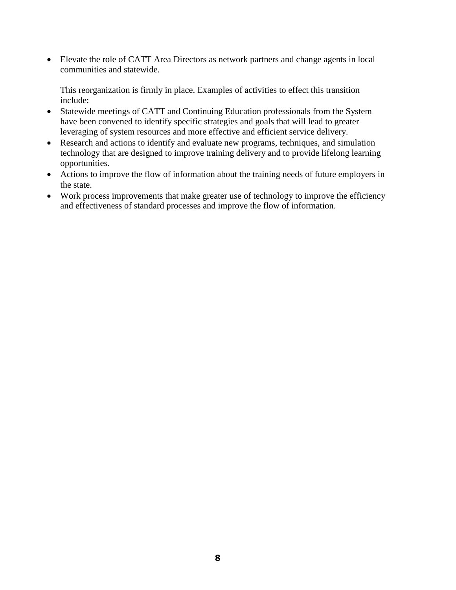• Elevate the role of CATT Area Directors as network partners and change agents in local communities and statewide.

This reorganization is firmly in place. Examples of activities to effect this transition include:

- Statewide meetings of CATT and Continuing Education professionals from the System have been convened to identify specific strategies and goals that will lead to greater leveraging of system resources and more effective and efficient service delivery.
- Research and actions to identify and evaluate new programs, techniques, and simulation technology that are designed to improve training delivery and to provide lifelong learning opportunities.
- Actions to improve the flow of information about the training needs of future employers in the state.
- Work process improvements that make greater use of technology to improve the efficiency and effectiveness of standard processes and improve the flow of information.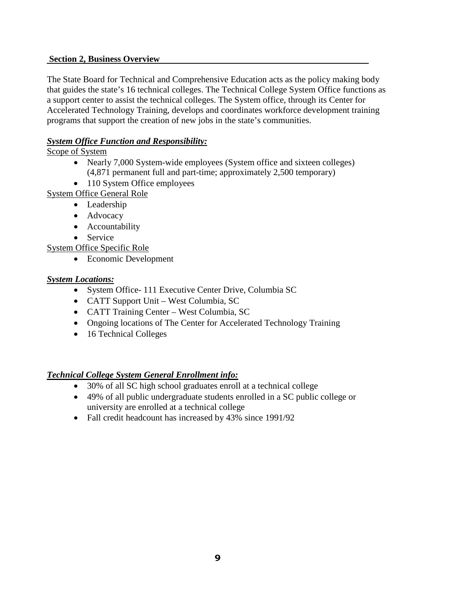## **Section 2, Business Overview**

The State Board for Technical and Comprehensive Education acts as the policy making body that guides the state's 16 technical colleges. The Technical College System Office functions as a support center to assist the technical colleges. The System office, through its Center for Accelerated Technology Training, develops and coordinates workforce development training programs that support the creation of new jobs in the state's communities.

# *System Office Function and Responsibility:*

Scope of System

- Nearly 7,000 System-wide employees (System office and sixteen colleges) (4,871 permanent full and part-time; approximately 2,500 temporary)
- 110 System Office employees
- System Office General Role
	- Leadership
	- Advocacy
	- Accountability
	- Service

System Office Specific Role

• Economic Development

# *System Locations:*

- System Office- 111 Executive Center Drive, Columbia SC
- CATT Support Unit West Columbia, SC
- CATT Training Center West Columbia, SC
- Ongoing locations of The Center for Accelerated Technology Training
- 16 Technical Colleges

# *Technical College System General Enrollment info:*

- 30% of all SC high school graduates enroll at a technical college
- 49% of all public undergraduate students enrolled in a SC public college or university are enrolled at a technical college
- Fall credit headcount has increased by 43% since 1991/92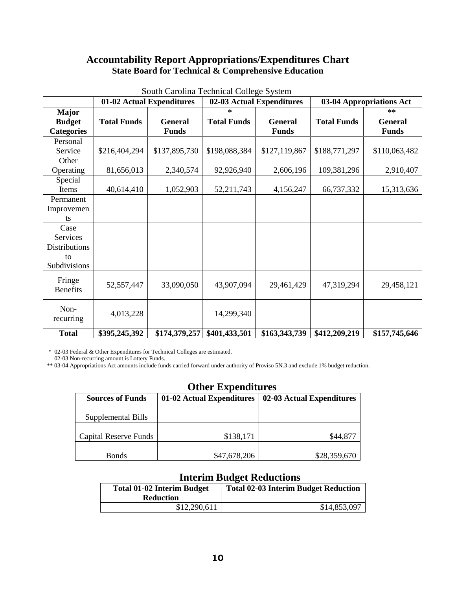# **Accountability Report Appropriations/Expenditures Chart State Board for Technical & Comprehensive Education**

|                           | $500$ ulii Carolina Teeninear Conege D $\gamma$ stem<br>02-03 Actual Expenditures<br>01-02 Actual Expenditures |                | 03-04 Appropriations Act |                |                    |                |
|---------------------------|----------------------------------------------------------------------------------------------------------------|----------------|--------------------------|----------------|--------------------|----------------|
| Major                     |                                                                                                                |                | ÷                        |                |                    | $**$           |
| <b>Budget</b>             | <b>Total Funds</b>                                                                                             | <b>General</b> | <b>Total Funds</b>       | <b>General</b> | <b>Total Funds</b> | <b>General</b> |
| <b>Categories</b>         |                                                                                                                | <b>Funds</b>   |                          | <b>Funds</b>   |                    | <b>Funds</b>   |
| Personal                  |                                                                                                                |                |                          |                |                    |                |
| Service                   | \$216,404,294                                                                                                  | \$137,895,730  | \$198,088,384            | \$127,119,867  | \$188,771,297      | \$110,063,482  |
| Other                     |                                                                                                                |                |                          |                |                    |                |
| Operating                 | 81,656,013                                                                                                     | 2,340,574      | 92,926,940               | 2,606,196      | 109,381,296        | 2,910,407      |
| Special                   |                                                                                                                |                |                          |                |                    |                |
| Items                     | 40,614,410                                                                                                     | 1,052,903      | 52, 211, 743             | 4,156,247      | 66,737,332         | 15,313,636     |
| Permanent                 |                                                                                                                |                |                          |                |                    |                |
| Improvemen                |                                                                                                                |                |                          |                |                    |                |
| ts                        |                                                                                                                |                |                          |                |                    |                |
| Case                      |                                                                                                                |                |                          |                |                    |                |
| Services                  |                                                                                                                |                |                          |                |                    |                |
| Distributions             |                                                                                                                |                |                          |                |                    |                |
| to                        |                                                                                                                |                |                          |                |                    |                |
| Subdivisions              |                                                                                                                |                |                          |                |                    |                |
| Fringe<br><b>Benefits</b> | 52,557,447                                                                                                     | 33,090,050     | 43,907,094               | 29,461,429     | 47,319,294         | 29,458,121     |
| Non-<br>recurring         | 4,013,228                                                                                                      |                | 14,299,340               |                |                    |                |
| <b>Total</b>              | \$395,245,392                                                                                                  | \$174,379,257  | \$401,433,501            | \$163,343,739  | \$412,209,219      | \$157,745,646  |

South Carolina Technical College System

\* 02-03 Federal & Other Expenditures for Technical Colleges are estimated.

02-03 Non-recurring amount is Lottery Funds.

\*\* 03-04 Appropriations Act amounts include funds carried forward under authority of Proviso 5N.3 and exclude 1% budget reduction.

# **Other Expenditures**

|                         | Other Expenditures        |                           |  |
|-------------------------|---------------------------|---------------------------|--|
| <b>Sources of Funds</b> | 01-02 Actual Expenditures | 02-03 Actual Expenditures |  |
|                         |                           |                           |  |
| Supplemental Bills      |                           |                           |  |
|                         |                           |                           |  |
| Capital Reserve Funds   | \$138,171                 | \$44,877                  |  |
|                         |                           |                           |  |
| <b>Bonds</b>            | \$47,678,206              | \$28,359,670              |  |

# **Interim Budget Reductions**

| <b>Total 01-02 Interim Budget</b><br><b>Reduction</b> | <b>Total 02-03 Interim Budget Reduction</b> |
|-------------------------------------------------------|---------------------------------------------|
| \$12,290,611                                          | \$14,853,097                                |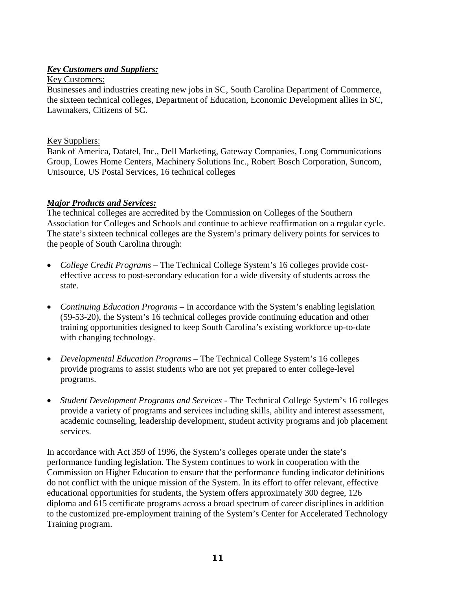# *Key Customers and Suppliers:*

#### Key Customers:

Businesses and industries creating new jobs in SC, South Carolina Department of Commerce, the sixteen technical colleges, Department of Education, Economic Development allies in SC, Lawmakers, Citizens of SC.

#### Key Suppliers:

Bank of America, Datatel, Inc., Dell Marketing, Gateway Companies, Long Communications Group, Lowes Home Centers, Machinery Solutions Inc., Robert Bosch Corporation, Suncom, Unisource, US Postal Services, 16 technical colleges

## *Major Products and Services:*

The technical colleges are accredited by the Commission on Colleges of the Southern Association for Colleges and Schools and continue to achieve reaffirmation on a regular cycle. The state's sixteen technical colleges are the System's primary delivery points for services to the people of South Carolina through:

- *College Credit Programs* The Technical College System's 16 colleges provide costeffective access to post-secondary education for a wide diversity of students across the state.
- *Continuing Education Programs* In accordance with the System's enabling legislation (59-53-20), the System's 16 technical colleges provide continuing education and other training opportunities designed to keep South Carolina's existing workforce up-to-date with changing technology.
- *Developmental Education Programs*  The Technical College System's 16 colleges provide programs to assist students who are not yet prepared to enter college-level programs.
- *Student Development Programs and Services* The Technical College System's 16 colleges provide a variety of programs and services including skills, ability and interest assessment, academic counseling, leadership development, student activity programs and job placement services.

In accordance with Act 359 of 1996, the System's colleges operate under the state's performance funding legislation. The System continues to work in cooperation with the Commission on Higher Education to ensure that the performance funding indicator definitions do not conflict with the unique mission of the System. In its effort to offer relevant, effective educational opportunities for students, the System offers approximately 300 degree, 126 diploma and 615 certificate programs across a broad spectrum of career disciplines in addition to the customized pre-employment training of the System's Center for Accelerated Technology Training program.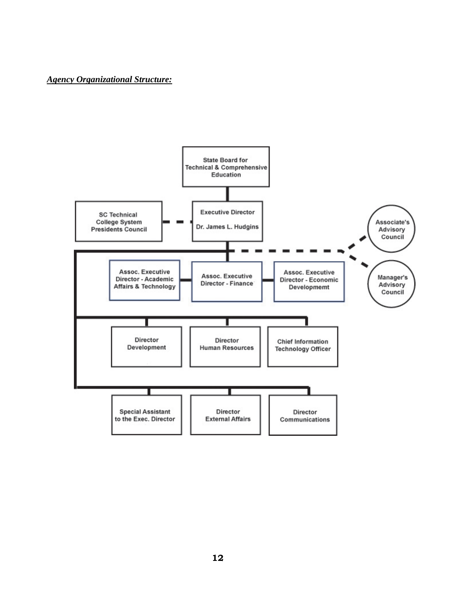#### *Agency Organizational Structure:*

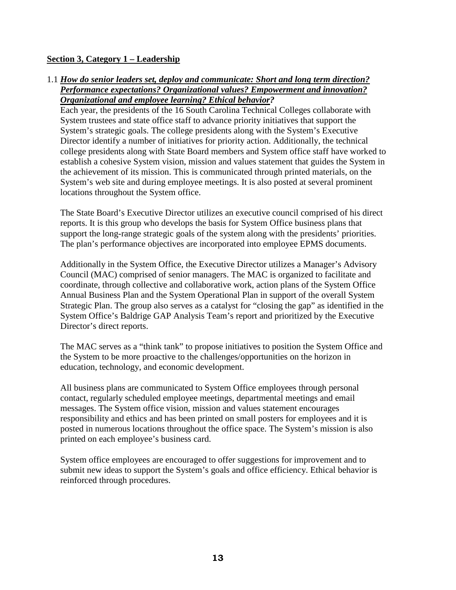## **Section 3, Category 1 – Leadership**

1.1 *How do senior leaders set, deploy and communicate: Short and long term direction? Performance expectations? Organizational values? Empowerment and innovation? Organizational and employee learning? Ethical behavior?*

Each year, the presidents of the 16 South Carolina Technical Colleges collaborate with System trustees and state office staff to advance priority initiatives that support the System's strategic goals. The college presidents along with the System's Executive Director identify a number of initiatives for priority action. Additionally, the technical college presidents along with State Board members and System office staff have worked to establish a cohesive System vision, mission and values statement that guides the System in the achievement of its mission. This is communicated through printed materials, on the System's web site and during employee meetings. It is also posted at several prominent locations throughout the System office.

The State Board's Executive Director utilizes an executive council comprised of his direct reports. It is this group who develops the basis for System Office business plans that support the long-range strategic goals of the system along with the presidents' priorities. The plan's performance objectives are incorporated into employee EPMS documents.

Additionally in the System Office, the Executive Director utilizes a Manager's Advisory Council (MAC) comprised of senior managers. The MAC is organized to facilitate and coordinate, through collective and collaborative work, action plans of the System Office Annual Business Plan and the System Operational Plan in support of the overall System Strategic Plan. The group also serves as a catalyst for "closing the gap" as identified in the System Office's Baldrige GAP Analysis Team's report and prioritized by the Executive Director's direct reports.

The MAC serves as a "think tank" to propose initiatives to position the System Office and the System to be more proactive to the challenges/opportunities on the horizon in education, technology, and economic development.

All business plans are communicated to System Office employees through personal contact, regularly scheduled employee meetings, departmental meetings and email messages. The System office vision, mission and values statement encourages responsibility and ethics and has been printed on small posters for employees and it is posted in numerous locations throughout the office space. The System's mission is also printed on each employee's business card.

System office employees are encouraged to offer suggestions for improvement and to submit new ideas to support the System's goals and office efficiency. Ethical behavior is reinforced through procedures.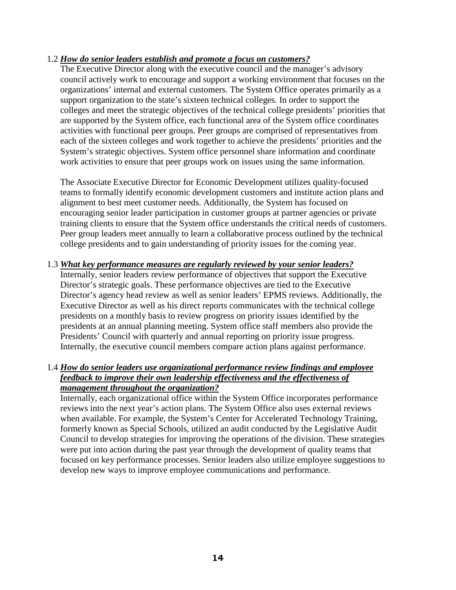#### 1.2 *How do senior leaders establish and promote a focus on customers?*

The Executive Director along with the executive council and the manager's advisory council actively work to encourage and support a working environment that focuses on the organizations' internal and external customers. The System Office operates primarily as a support organization to the state's sixteen technical colleges. In order to support the colleges and meet the strategic objectives of the technical college presidents' priorities that are supported by the System office, each functional area of the System office coordinates activities with functional peer groups. Peer groups are comprised of representatives from each of the sixteen colleges and work together to achieve the presidents' priorities and the System's strategic objectives. System office personnel share information and coordinate work activities to ensure that peer groups work on issues using the same information.

The Associate Executive Director for Economic Development utilizes quality-focused teams to formally identify economic development customers and institute action plans and alignment to best meet customer needs. Additionally, the System has focused on encouraging senior leader participation in customer groups at partner agencies or private training clients to ensure that the System office understands the critical needs of customers. Peer group leaders meet annually to learn a collaborative process outlined by the technical college presidents and to gain understanding of priority issues for the coming year.

#### 1.3 *What key performance measures are regularly reviewed by your senior leaders?*

Internally, senior leaders review performance of objectives that support the Executive Director's strategic goals. These performance objectives are tied to the Executive Director's agency head review as well as senior leaders' EPMS reviews. Additionally, the Executive Director as well as his direct reports communicates with the technical college presidents on a monthly basis to review progress on priority issues identified by the presidents at an annual planning meeting. System office staff members also provide the Presidents' Council with quarterly and annual reporting on priority issue progress. Internally, the executive council members compare action plans against performance.

#### 1.4 *How do senior leaders use organizational performance review findings and employee feedback to improve their own leadership effectiveness and the effectiveness of management throughout the organization?*

Internally, each organizational office within the System Office incorporates performance reviews into the next year's action plans. The System Office also uses external reviews when available. For example, the System's Center for Accelerated Technology Training, formerly known as Special Schools, utilized an audit conducted by the Legislative Audit Council to develop strategies for improving the operations of the division. These strategies were put into action during the past year through the development of quality teams that focused on key performance processes. Senior leaders also utilize employee suggestions to develop new ways to improve employee communications and performance.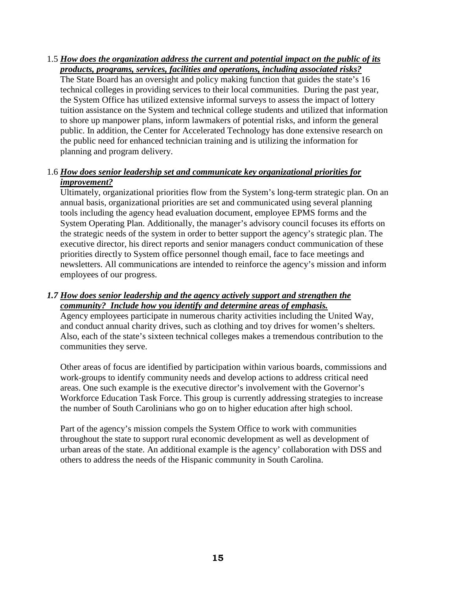1.5 *How does the organization address the current and potential impact on the public of its products, programs, services, facilities and operations, including associated risks?*

The State Board has an oversight and policy making function that guides the state's 16 technical colleges in providing services to their local communities. During the past year, the System Office has utilized extensive informal surveys to assess the impact of lottery tuition assistance on the System and technical college students and utilized that information to shore up manpower plans, inform lawmakers of potential risks, and inform the general public. In addition, the Center for Accelerated Technology has done extensive research on the public need for enhanced technician training and is utilizing the information for planning and program delivery.

# 1.6 *How does senior leadership set and communicate key organizational priorities for improvement?*

Ultimately, organizational priorities flow from the System's long-term strategic plan. On an annual basis, organizational priorities are set and communicated using several planning tools including the agency head evaluation document, employee EPMS forms and the System Operating Plan. Additionally, the manager's advisory council focuses its efforts on the strategic needs of the system in order to better support the agency's strategic plan. The executive director, his direct reports and senior managers conduct communication of these priorities directly to System office personnel though email, face to face meetings and newsletters. All communications are intended to reinforce the agency's mission and inform employees of our progress.

# *1.7 How does senior leadership and the agency actively support and strengthen the community? Include how you identify and determine areas of emphasis.*

Agency employees participate in numerous charity activities including the United Way, and conduct annual charity drives, such as clothing and toy drives for women's shelters. Also, each of the state's sixteen technical colleges makes a tremendous contribution to the communities they serve.

Other areas of focus are identified by participation within various boards, commissions and work-groups to identify community needs and develop actions to address critical need areas. One such example is the executive director's involvement with the Governor's Workforce Education Task Force. This group is currently addressing strategies to increase the number of South Carolinians who go on to higher education after high school.

Part of the agency's mission compels the System Office to work with communities throughout the state to support rural economic development as well as development of urban areas of the state. An additional example is the agency' collaboration with DSS and others to address the needs of the Hispanic community in South Carolina.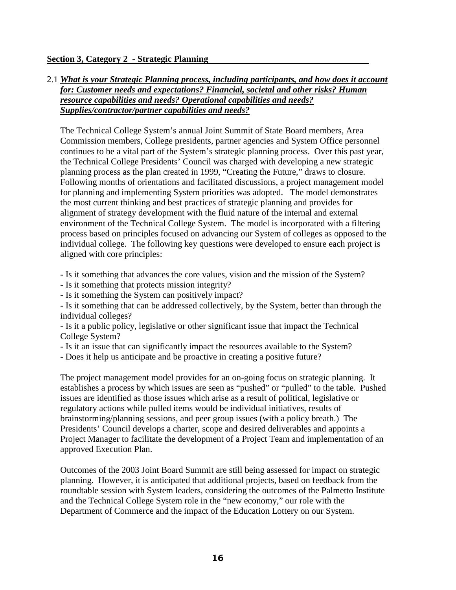#### **Section 3, Category 2 - Strategic Planning**

## 2.1 *What is your Strategic Planning process, including participants, and how does it account for: Customer needs and expectations? Financial, societal and other risks? Human resource capabilities and needs? Operational capabilities and needs? Supplies/contractor/partner capabilities and needs?*

The Technical College System's annual Joint Summit of State Board members, Area Commission members, College presidents, partner agencies and System Office personnel continues to be a vital part of the System's strategic planning process. Over this past year, the Technical College Presidents' Council was charged with developing a new strategic planning process as the plan created in 1999, "Creating the Future," draws to closure. Following months of orientations and facilitated discussions, a project management model for planning and implementing System priorities was adopted. The model demonstrates the most current thinking and best practices of strategic planning and provides for alignment of strategy development with the fluid nature of the internal and external environment of the Technical College System. The model is incorporated with a filtering process based on principles focused on advancing our System of colleges as opposed to the individual college. The following key questions were developed to ensure each project is aligned with core principles:

- Is it something that advances the core values, vision and the mission of the System?

- Is it something that protects mission integrity?

- Is it something the System can positively impact?

- Is it something that can be addressed collectively, by the System, better than through the individual colleges?

- Is it a public policy, legislative or other significant issue that impact the Technical College System?

- Is it an issue that can significantly impact the resources available to the System?

- Does it help us anticipate and be proactive in creating a positive future?

The project management model provides for an on-going focus on strategic planning. It establishes a process by which issues are seen as "pushed" or "pulled" to the table. Pushed issues are identified as those issues which arise as a result of political, legislative or regulatory actions while pulled items would be individual initiatives, results of brainstorming/planning sessions, and peer group issues (with a policy breath.) The Presidents' Council develops a charter, scope and desired deliverables and appoints a Project Manager to facilitate the development of a Project Team and implementation of an approved Execution Plan.

Outcomes of the 2003 Joint Board Summit are still being assessed for impact on strategic planning. However, it is anticipated that additional projects, based on feedback from the roundtable session with System leaders, considering the outcomes of the Palmetto Institute and the Technical College System role in the "new economy," our role with the Department of Commerce and the impact of the Education Lottery on our System.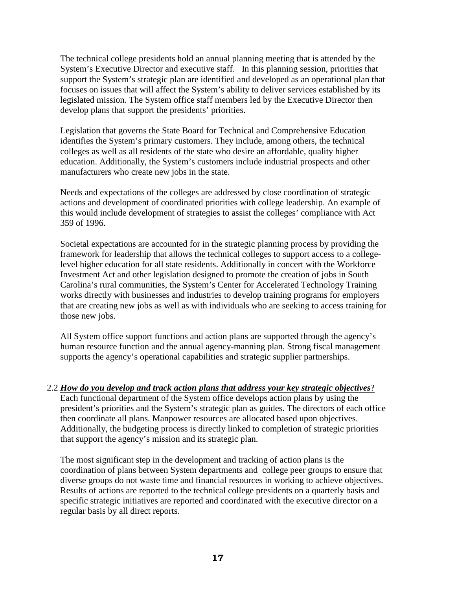The technical college presidents hold an annual planning meeting that is attended by the System's Executive Director and executive staff. In this planning session, priorities that support the System's strategic plan are identified and developed as an operational plan that focuses on issues that will affect the System's ability to deliver services established by its legislated mission. The System office staff members led by the Executive Director then develop plans that support the presidents' priorities.

Legislation that governs the State Board for Technical and Comprehensive Education identifies the System's primary customers. They include, among others, the technical colleges as well as all residents of the state who desire an affordable, quality higher education. Additionally, the System's customers include industrial prospects and other manufacturers who create new jobs in the state.

Needs and expectations of the colleges are addressed by close coordination of strategic actions and development of coordinated priorities with college leadership. An example of this would include development of strategies to assist the colleges' compliance with Act 359 of 1996.

Societal expectations are accounted for in the strategic planning process by providing the framework for leadership that allows the technical colleges to support access to a collegelevel higher education for all state residents. Additionally in concert with the Workforce Investment Act and other legislation designed to promote the creation of jobs in South Carolina's rural communities, the System's Center for Accelerated Technology Training works directly with businesses and industries to develop training programs for employers that are creating new jobs as well as with individuals who are seeking to access training for those new jobs.

All System office support functions and action plans are supported through the agency's human resource function and the annual agency-manning plan. Strong fiscal management supports the agency's operational capabilities and strategic supplier partnerships.

2.2 *How do you develop and track action plans that address your key strategic objectives*?

Each functional department of the System office develops action plans by using the president's priorities and the System's strategic plan as guides. The directors of each office then coordinate all plans. Manpower resources are allocated based upon objectives. Additionally, the budgeting process is directly linked to completion of strategic priorities that support the agency's mission and its strategic plan.

The most significant step in the development and tracking of action plans is the coordination of plans between System departments and college peer groups to ensure that diverse groups do not waste time and financial resources in working to achieve objectives. Results of actions are reported to the technical college presidents on a quarterly basis and specific strategic initiatives are reported and coordinated with the executive director on a regular basis by all direct reports.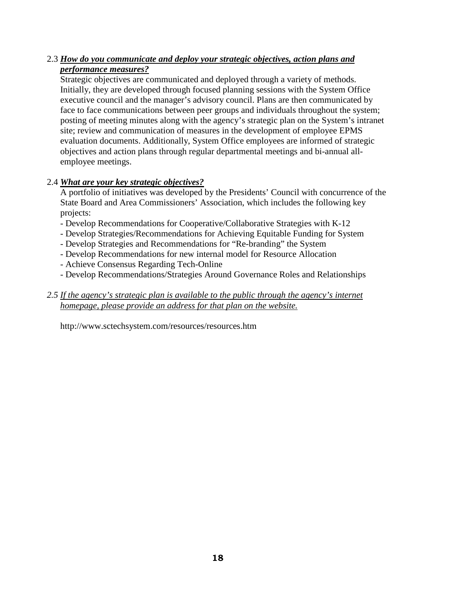# 2.3 *How do you communicate and deploy your strategic objectives, action plans and performance measures?*

Strategic objectives are communicated and deployed through a variety of methods. Initially, they are developed through focused planning sessions with the System Office executive council and the manager's advisory council. Plans are then communicated by face to face communications between peer groups and individuals throughout the system; posting of meeting minutes along with the agency's strategic plan on the System's intranet site; review and communication of measures in the development of employee EPMS evaluation documents. Additionally, System Office employees are informed of strategic objectives and action plans through regular departmental meetings and bi-annual allemployee meetings.

# 2.4 *What are your key strategic objectives?*

A portfolio of initiatives was developed by the Presidents' Council with concurrence of the State Board and Area Commissioners' Association, which includes the following key projects:

- Develop Recommendations for Cooperative/Collaborative Strategies with K-12
- Develop Strategies/Recommendations for Achieving Equitable Funding for System
- Develop Strategies and Recommendations for "Re-branding" the System
- Develop Recommendations for new internal model for Resource Allocation
- Achieve Consensus Regarding Tech-Online
- Develop Recommendations/Strategies Around Governance Roles and Relationships

## *2.5 If the agency's strategic plan is available to the public through the agency's internet homepage, please provide an address for that plan on the website.*

http://www.sctechsystem.com/resources/resources.htm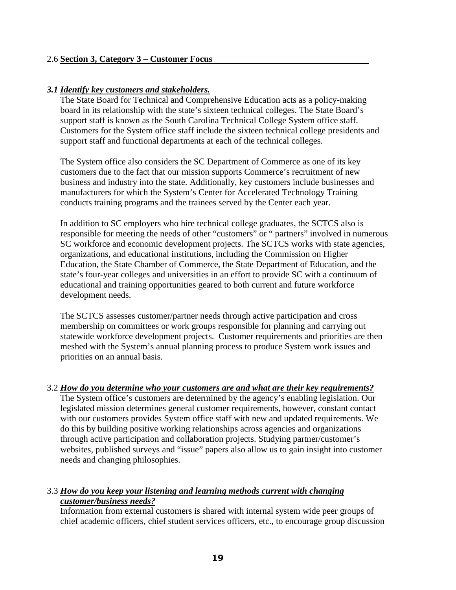#### 2.6 **Section 3, Category 3 – Customer Focus**

#### *3.1 Identify key customers and stakeholders.*

The State Board for Technical and Comprehensive Education acts as a policy-making board in its relationship with the state's sixteen technical colleges. The State Board's support staff is known as the South Carolina Technical College System office staff. Customers for the System office staff include the sixteen technical college presidents and support staff and functional departments at each of the technical colleges.

The System office also considers the SC Department of Commerce as one of its key customers due to the fact that our mission supports Commerce's recruitment of new business and industry into the state. Additionally, key customers include businesses and manufacturers for which the System's Center for Accelerated Technology Training conducts training programs and the trainees served by the Center each year.

In addition to SC employers who hire technical college graduates, the SCTCS also is responsible for meeting the needs of other "customers" or " partners" involved in numerous SC workforce and economic development projects. The SCTCS works with state agencies, organizations, and educational institutions, including the Commission on Higher Education, the State Chamber of Commerce, the State Department of Education, and the state's four-year colleges and universities in an effort to provide SC with a continuum of educational and training opportunities geared to both current and future workforce development needs.

The SCTCS assesses customer/partner needs through active participation and cross membership on committees or work groups responsible for planning and carrying out statewide workforce development projects. Customer requirements and priorities are then meshed with the System's annual planning process to produce System work issues and priorities on an annual basis.

#### 3.2 *How do you determine who your customers are and what are their key requirements?*

The System office's customers are determined by the agency's enabling legislation. Our legislated mission determines general customer requirements, however, constant contact with our customers provides System office staff with new and updated requirements. We do this by building positive working relationships across agencies and organizations through active participation and collaboration projects. Studying partner/customer's websites, published surveys and "issue" papers also allow us to gain insight into customer needs and changing philosophies.

#### 3.3 *How do you keep your listening and learning methods current with changing customer/business needs?*

Information from external customers is shared with internal system wide peer groups of chief academic officers, chief student services officers, etc., to encourage group discussion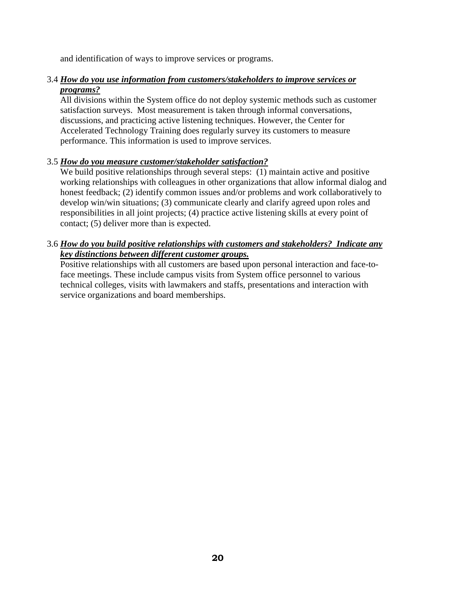and identification of ways to improve services or programs.

#### 3.4 *How do you use information from customers/stakeholders to improve services or programs?*

All divisions within the System office do not deploy systemic methods such as customer satisfaction surveys. Most measurement is taken through informal conversations, discussions, and practicing active listening techniques. However, the Center for Accelerated Technology Training does regularly survey its customers to measure performance. This information is used to improve services.

## 3.5 *How do you measure customer/stakeholder satisfaction?*

We build positive relationships through several steps: (1) maintain active and positive working relationships with colleagues in other organizations that allow informal dialog and honest feedback; (2) identify common issues and/or problems and work collaboratively to develop win/win situations; (3) communicate clearly and clarify agreed upon roles and responsibilities in all joint projects; (4) practice active listening skills at every point of contact; (5) deliver more than is expected.

#### 3.6 *How do you build positive relationships with customers and stakeholders? Indicate any key distinctions between different customer groups.*

Positive relationships with all customers are based upon personal interaction and face-toface meetings. These include campus visits from System office personnel to various technical colleges, visits with lawmakers and staffs, presentations and interaction with service organizations and board memberships.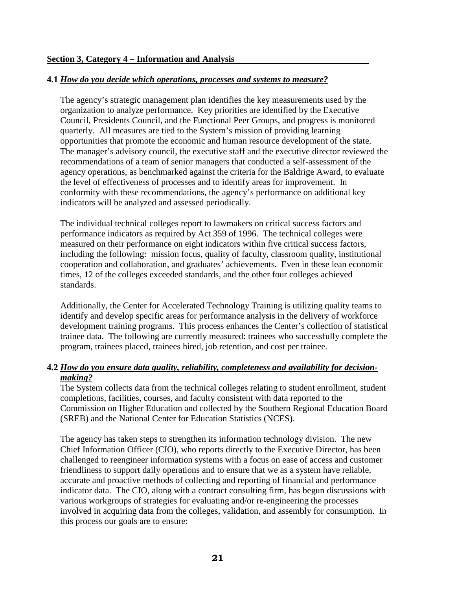#### **4.1** *How do you decide which operations, processes and systems to measure?*

The agency's strategic management plan identifies the key measurements used by the organization to analyze performance. Key priorities are identified by the Executive Council, Presidents Council, and the Functional Peer Groups, and progress is monitored quarterly. All measures are tied to the System's mission of providing learning opportunities that promote the economic and human resource development of the state. The manager's advisory council, the executive staff and the executive director reviewed the recommendations of a team of senior managers that conducted a self-assessment of the agency operations, as benchmarked against the criteria for the Baldrige Award, to evaluate the level of effectiveness of processes and to identify areas for improvement. In conformity with these recommendations, the agency's performance on additional key indicators will be analyzed and assessed periodically.

The individual technical colleges report to lawmakers on critical success factors and performance indicators as required by Act 359 of 1996. The technical colleges were measured on their performance on eight indicators within five critical success factors, including the following: mission focus, quality of faculty, classroom quality, institutional cooperation and collaboration, and graduates' achievements. Even in these lean economic times, 12 of the colleges exceeded standards, and the other four colleges achieved standards.

Additionally, the Center for Accelerated Technology Training is utilizing quality teams to identify and develop specific areas for performance analysis in the delivery of workforce development training programs. This process enhances the Center's collection of statistical trainee data. The following are currently measured: trainees who successfully complete the program, trainees placed, trainees hired, job retention, and cost per trainee.

## **4.2** *How do you ensure data quality, reliability, completeness and availability for decision making?*

 The System collects data from the technical colleges relating to student enrollment, student completions, facilities, courses, and faculty consistent with data reported to the Commission on Higher Education and collected by the Southern Regional Education Board (SREB) and the National Center for Education Statistics (NCES).

The agency has taken steps to strengthen its information technology division. The new Chief Information Officer (CIO), who reports directly to the Executive Director, has been challenged to reengineer information systems with a focus on ease of access and customer friendliness to support daily operations and to ensure that we as a system have reliable, accurate and proactive methods of collecting and reporting of financial and performance indicator data. The CIO, along with a contract consulting firm, has begun discussions with various workgroups of strategies for evaluating and/or re-engineering the processes involved in acquiring data from the colleges, validation, and assembly for consumption. In this process our goals are to ensure: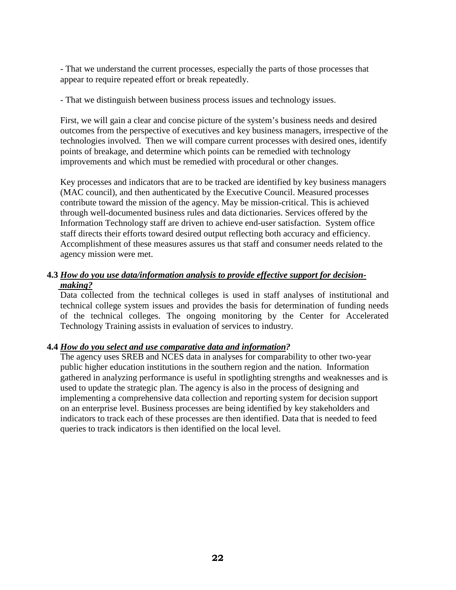- That we understand the current processes, especially the parts of those processes that appear to require repeated effort or break repeatedly.

- That we distinguish between business process issues and technology issues.

First, we will gain a clear and concise picture of the system's business needs and desired outcomes from the perspective of executives and key business managers, irrespective of the technologies involved. Then we will compare current processes with desired ones, identify points of breakage, and determine which points can be remedied with technology improvements and which must be remedied with procedural or other changes.

 Key processes and indicators that are to be tracked are identified by key business managers (MAC council), and then authenticated by the Executive Council. Measured processes contribute toward the mission of the agency. May be mission-critical. This is achieved through well-documented business rules and data dictionaries. Services offered by the Information Technology staff are driven to achieve end-user satisfaction. System office staff directs their efforts toward desired output reflecting both accuracy and efficiency. Accomplishment of these measures assures us that staff and consumer needs related to the agency mission were met.

## **4.3** *How do you use data/information analysis to provide effective support for decision making?*

 Data collected from the technical colleges is used in staff analyses of institutional and technical college system issues and provides the basis for determination of funding needs of the technical colleges. The ongoing monitoring by the Center for Accelerated Technology Training assists in evaluation of services to industry.

## **4.4** *How do you select and use comparative data and information?*

 The agency uses SREB and NCES data in analyses for comparability to other two-year public higher education institutions in the southern region and the nation. Information gathered in analyzing performance is useful in spotlighting strengths and weaknesses and is used to update the strategic plan. The agency is also in the process of designing and implementing a comprehensive data collection and reporting system for decision support on an enterprise level. Business processes are being identified by key stakeholders and indicators to track each of these processes are then identified. Data that is needed to feed queries to track indicators is then identified on the local level.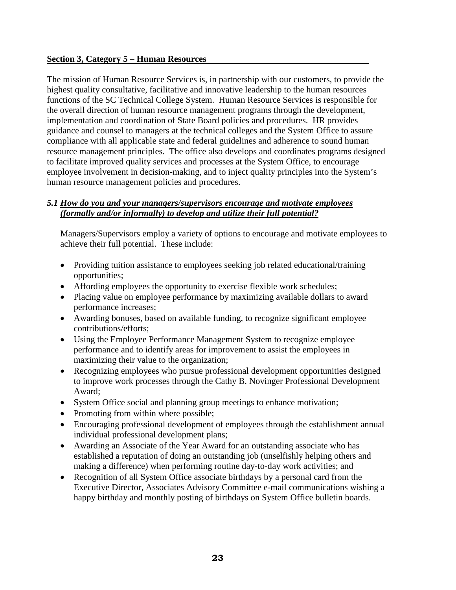#### **Section 3, Category 5 – Human Resources**

The mission of Human Resource Services is, in partnership with our customers, to provide the highest quality consultative, facilitative and innovative leadership to the human resources functions of the SC Technical College System. Human Resource Services is responsible for the overall direction of human resource management programs through the development, implementation and coordination of State Board policies and procedures. HR provides guidance and counsel to managers at the technical colleges and the System Office to assure compliance with all applicable state and federal guidelines and adherence to sound human resource management principles. The office also develops and coordinates programs designed to facilitate improved quality services and processes at the System Office, to encourage employee involvement in decision-making, and to inject quality principles into the System's human resource management policies and procedures.

## *5.1 How do you and your managers/supervisors encourage and motivate employees (formally and/or informally) to develop and utilize their full potential?*

Managers/Supervisors employ a variety of options to encourage and motivate employees to achieve their full potential. These include:

- Providing tuition assistance to employees seeking job related educational/training opportunities;
- Affording employees the opportunity to exercise flexible work schedules;
- Placing value on employee performance by maximizing available dollars to award performance increases;
- Awarding bonuses, based on available funding, to recognize significant employee contributions/efforts;
- Using the Employee Performance Management System to recognize employee performance and to identify areas for improvement to assist the employees in maximizing their value to the organization;
- Recognizing employees who pursue professional development opportunities designed to improve work processes through the Cathy B. Novinger Professional Development Award;
- System Office social and planning group meetings to enhance motivation;
- Promoting from within where possible;
- Encouraging professional development of employees through the establishment annual individual professional development plans;
- Awarding an Associate of the Year Award for an outstanding associate who has established a reputation of doing an outstanding job (unselfishly helping others and making a difference) when performing routine day-to-day work activities; and
- Recognition of all System Office associate birthdays by a personal card from the Executive Director, Associates Advisory Committee e-mail communications wishing a happy birthday and monthly posting of birthdays on System Office bulletin boards.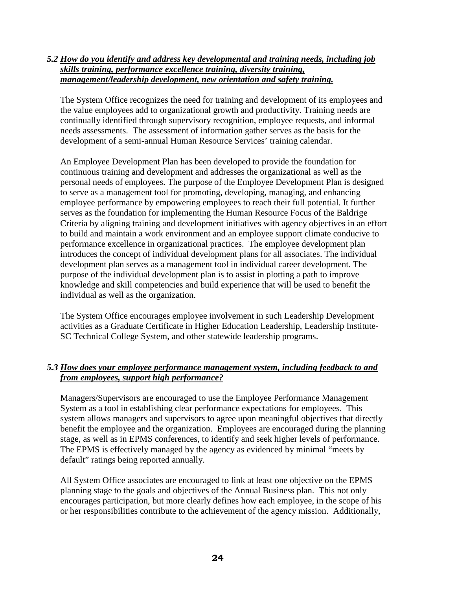## *5.2 How do you identify and address key developmental and training needs, including job skills training, performance excellence training, diversity training, management/leadership development, new orientation and safety training.*

The System Office recognizes the need for training and development of its employees and the value employees add to organizational growth and productivity. Training needs are continually identified through supervisory recognition, employee requests, and informal needs assessments. The assessment of information gather serves as the basis for the development of a semi-annual Human Resource Services' training calendar.

An Employee Development Plan has been developed to provide the foundation for continuous training and development and addresses the organizational as well as the personal needs of employees. The purpose of the Employee Development Plan is designed to serve as a management tool for promoting, developing, managing, and enhancing employee performance by empowering employees to reach their full potential. It further serves as the foundation for implementing the Human Resource Focus of the Baldrige Criteria by aligning training and development initiatives with agency objectives in an effort to build and maintain a work environment and an employee support climate conducive to performance excellence in organizational practices. The employee development plan introduces the concept of individual development plans for all associates. The individual development plan serves as a management tool in individual career development. The purpose of the individual development plan is to assist in plotting a path to improve knowledge and skill competencies and build experience that will be used to benefit the individual as well as the organization.

The System Office encourages employee involvement in such Leadership Development activities as a Graduate Certificate in Higher Education Leadership, Leadership Institute-SC Technical College System, and other statewide leadership programs.

# *5.3 How does your employee performance management system, including feedback to and from employees, support high performance?*

Managers/Supervisors are encouraged to use the Employee Performance Management System as a tool in establishing clear performance expectations for employees. This system allows managers and supervisors to agree upon meaningful objectives that directly benefit the employee and the organization. Employees are encouraged during the planning stage, as well as in EPMS conferences, to identify and seek higher levels of performance. The EPMS is effectively managed by the agency as evidenced by minimal "meets by default" ratings being reported annually.

All System Office associates are encouraged to link at least one objective on the EPMS planning stage to the goals and objectives of the Annual Business plan. This not only encourages participation, but more clearly defines how each employee, in the scope of his or her responsibilities contribute to the achievement of the agency mission. Additionally,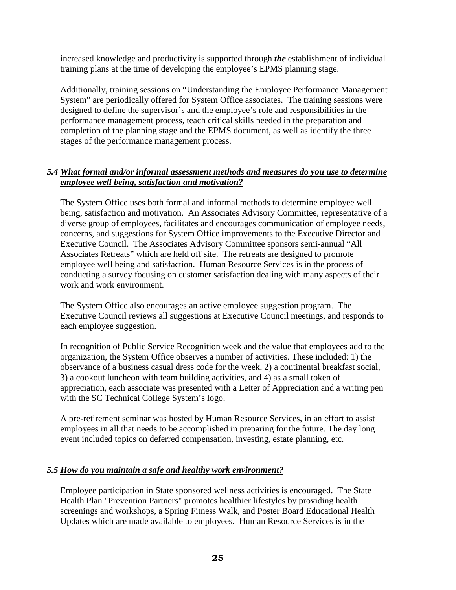increased knowledge and productivity is supported through *the* establishment of individual training plans at the time of developing the employee's EPMS planning stage.

Additionally, training sessions on "Understanding the Employee Performance Management System" are periodically offered for System Office associates. The training sessions were designed to define the supervisor's and the employee's role and responsibilities in the performance management process, teach critical skills needed in the preparation and completion of the planning stage and the EPMS document, as well as identify the three stages of the performance management process.

# *5.4 What formal and/or informal assessment methods and measures do you use to determine employee well being, satisfaction and motivation?*

The System Office uses both formal and informal methods to determine employee well being, satisfaction and motivation. An Associates Advisory Committee, representative of a diverse group of employees, facilitates and encourages communication of employee needs, concerns, and suggestions for System Office improvements to the Executive Director and Executive Council. The Associates Advisory Committee sponsors semi-annual "All Associates Retreats" which are held off site. The retreats are designed to promote employee well being and satisfaction. Human Resource Services is in the process of conducting a survey focusing on customer satisfaction dealing with many aspects of their work and work environment.

The System Office also encourages an active employee suggestion program. The Executive Council reviews all suggestions at Executive Council meetings, and responds to each employee suggestion.

In recognition of Public Service Recognition week and the value that employees add to the organization, the System Office observes a number of activities. These included: 1) the observance of a business casual dress code for the week, 2) a continental breakfast social, 3) a cookout luncheon with team building activities, and 4) as a small token of appreciation, each associate was presented with a Letter of Appreciation and a writing pen with the SC Technical College System's logo.

A pre-retirement seminar was hosted by Human Resource Services, in an effort to assist employees in all that needs to be accomplished in preparing for the future. The day long event included topics on deferred compensation, investing, estate planning, etc.

## *5.5 How do you maintain a safe and healthy work environment?*

Employee participation in State sponsored wellness activities is encouraged. The State Health Plan "Prevention Partners" promotes healthier lifestyles by providing health screenings and workshops, a Spring Fitness Walk, and Poster Board Educational Health Updates which are made available to employees. Human Resource Services is in the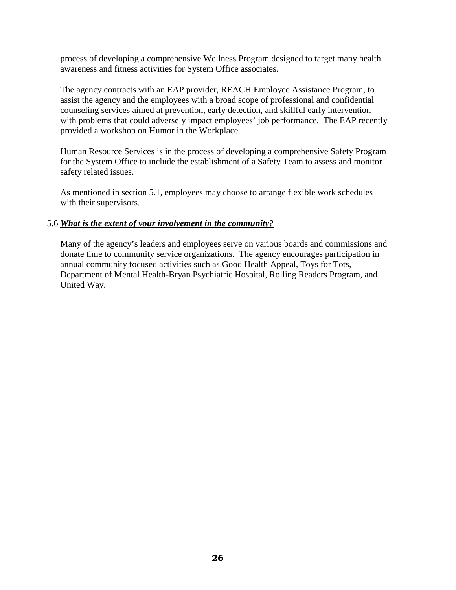process of developing a comprehensive Wellness Program designed to target many health awareness and fitness activities for System Office associates.

The agency contracts with an EAP provider, REACH Employee Assistance Program, to assist the agency and the employees with a broad scope of professional and confidential counseling services aimed at prevention, early detection, and skillful early intervention with problems that could adversely impact employees' job performance. The EAP recently provided a workshop on Humor in the Workplace.

Human Resource Services is in the process of developing a comprehensive Safety Program for the System Office to include the establishment of a Safety Team to assess and monitor safety related issues.

As mentioned in section 5.1, employees may choose to arrange flexible work schedules with their supervisors.

#### 5.6 *What is the extent of your involvement in the community?*

Many of the agency's leaders and employees serve on various boards and commissions and donate time to community service organizations. The agency encourages participation in annual community focused activities such as Good Health Appeal, Toys for Tots, Department of Mental Health-Bryan Psychiatric Hospital, Rolling Readers Program, and United Way.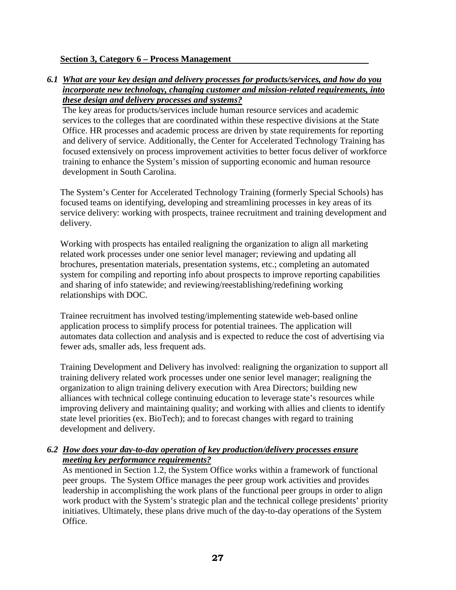#### **Section 3, Category 6 – Process Management**

*6.1 What are your key design and delivery processes for products/services, and how do you incorporate new technology, changing customer and mission-related requirements, into these design and delivery processes and systems?*

The key areas for products/services include human resource services and academic services to the colleges that are coordinated within these respective divisions at the State Office. HR processes and academic process are driven by state requirements for reporting and delivery of service. Additionally, the Center for Accelerated Technology Training has focused extensively on process improvement activities to better focus deliver of workforce training to enhance the System's mission of supporting economic and human resource development in South Carolina.

The System's Center for Accelerated Technology Training (formerly Special Schools) has focused teams on identifying, developing and streamlining processes in key areas of its service delivery: working with prospects, trainee recruitment and training development and delivery.

Working with prospects has entailed realigning the organization to align all marketing related work processes under one senior level manager; reviewing and updating all brochures, presentation materials, presentation systems, etc.; completing an automated system for compiling and reporting info about prospects to improve reporting capabilities and sharing of info statewide; and reviewing/reestablishing/redefining working relationships with DOC.

Trainee recruitment has involved testing/implementing statewide web-based online application process to simplify process for potential trainees. The application will automates data collection and analysis and is expected to reduce the cost of advertising via fewer ads, smaller ads, less frequent ads.

Training Development and Delivery has involved: realigning the organization to support all training delivery related work processes under one senior level manager; realigning the organization to align training delivery execution with Area Directors; building new alliances with technical college continuing education to leverage state's resources while improving delivery and maintaining quality; and working with allies and clients to identify state level priorities (ex. BioTech); and to forecast changes with regard to training development and delivery.

#### *6.2 How does your day-to-day operation of key production/delivery processes ensure meeting key performance requirements?*

As mentioned in Section 1.2, the System Office works within a framework of functional peer groups. The System Office manages the peer group work activities and provides leadership in accomplishing the work plans of the functional peer groups in order to align work product with the System's strategic plan and the technical college presidents' priority initiatives. Ultimately, these plans drive much of the day-to-day operations of the System Office.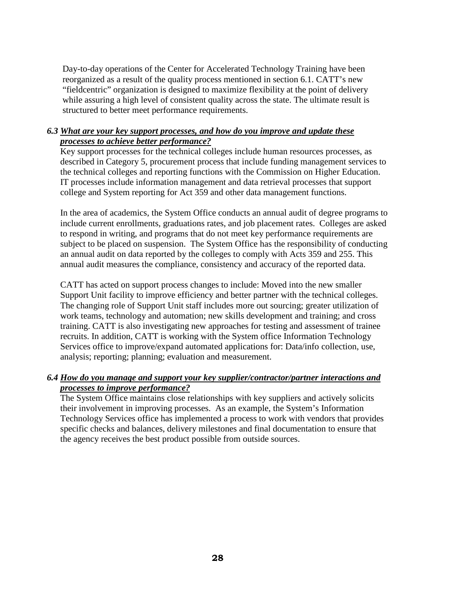Day-to-day operations of the Center for Accelerated Technology Training have been reorganized as a result of the quality process mentioned in section 6.1. CATT's new "fieldcentric" organization is designed to maximize flexibility at the point of delivery while assuring a high level of consistent quality across the state. The ultimate result is structured to better meet performance requirements.

#### *6.3 What are your key support processes, and how do you improve and update these processes to achieve better performance?*

Key support processes for the technical colleges include human resources processes, as described in Category 5, procurement process that include funding management services to the technical colleges and reporting functions with the Commission on Higher Education. IT processes include information management and data retrieval processes that support college and System reporting for Act 359 and other data management functions.

In the area of academics, the System Office conducts an annual audit of degree programs to include current enrollments, graduations rates, and job placement rates. Colleges are asked to respond in writing, and programs that do not meet key performance requirements are subject to be placed on suspension. The System Office has the responsibility of conducting an annual audit on data reported by the colleges to comply with Acts 359 and 255. This annual audit measures the compliance, consistency and accuracy of the reported data.

CATT has acted on support process changes to include: Moved into the new smaller Support Unit facility to improve efficiency and better partner with the technical colleges. The changing role of Support Unit staff includes more out sourcing; greater utilization of work teams, technology and automation; new skills development and training; and cross training. CATT is also investigating new approaches for testing and assessment of trainee recruits. In addition, CATT is working with the System office Information Technology Services office to improve/expand automated applications for: Data/info collection, use, analysis; reporting; planning; evaluation and measurement.

#### *6.4 How do you manage and support your key supplier/contractor/partner interactions and processes to improve performance?*

The System Office maintains close relationships with key suppliers and actively solicits their involvement in improving processes. As an example, the System's Information Technology Services office has implemented a process to work with vendors that provides specific checks and balances, delivery milestones and final documentation to ensure that the agency receives the best product possible from outside sources.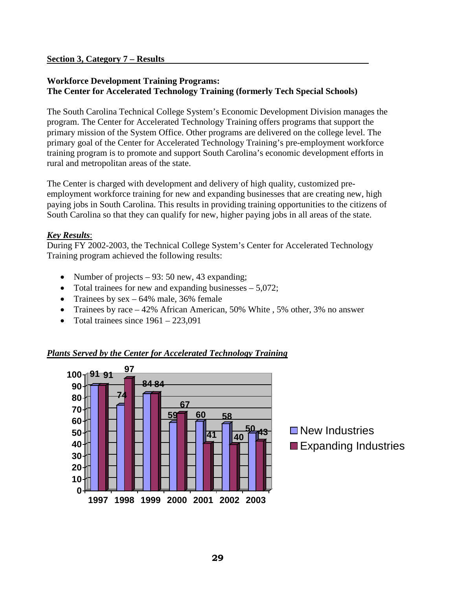## **Workforce Development Training Programs: The Center for Accelerated Technology Training (formerly Tech Special Schools)**

The South Carolina Technical College System's Economic Development Division manages the program. The Center for Accelerated Technology Training offers programs that support the primary mission of the System Office. Other programs are delivered on the college level. The primary goal of the Center for Accelerated Technology Training's pre-employment workforce training program is to promote and support South Carolina's economic development efforts in rural and metropolitan areas of the state.

The Center is charged with development and delivery of high quality, customized preemployment workforce training for new and expanding businesses that are creating new, high paying jobs in South Carolina. This results in providing training opportunities to the citizens of South Carolina so that they can qualify for new, higher paying jobs in all areas of the state.

# *Key Results*:

During FY 2002-2003, the Technical College System's Center for Accelerated Technology Training program achieved the following results:

- Number of projects 93: 50 new, 43 expanding;
- Total trainees for new and expanding businesses  $-5,072$ ;
- Trainees by sex  $-64\%$  male, 36% female
- Trainees by race 42% African American, 50% White, 5% other, 3% no answer
- Total trainees since  $1961 223.091$



# *Plants Served by the Center for Accelerated Technology Training*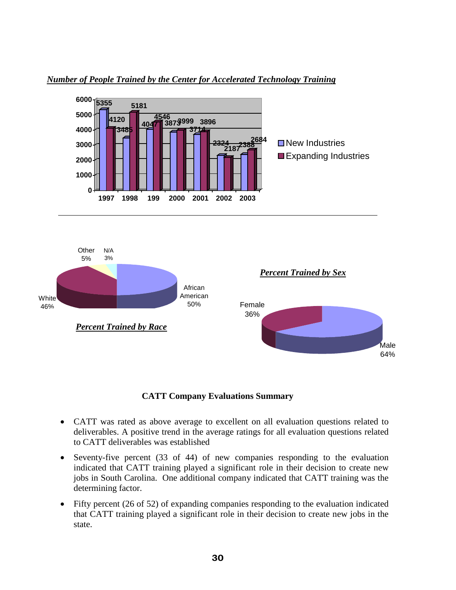

# *Number of People Trained by the Center for Accelerated Technology Training*



## **CATT Company Evaluations Summary**

- CATT was rated as above average to excellent on all evaluation questions related to deliverables. A positive trend in the average ratings for all evaluation questions related to CATT deliverables was established
- Seventy-five percent (33 of 44) of new companies responding to the evaluation indicated that CATT training played a significant role in their decision to create new jobs in South Carolina. One additional company indicated that CATT training was the determining factor.
- Fifty percent (26 of 52) of expanding companies responding to the evaluation indicated that CATT training played a significant role in their decision to create new jobs in the state.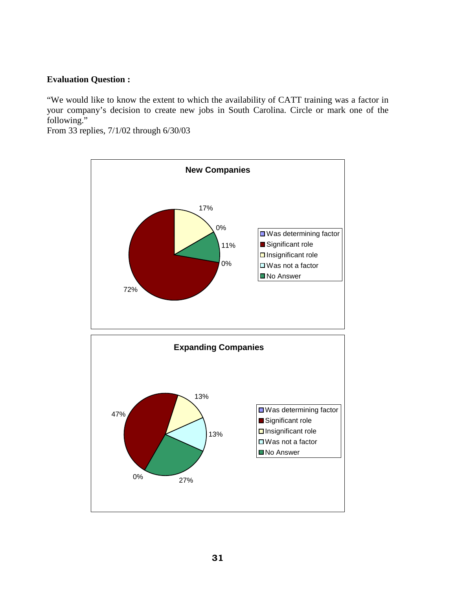## **Evaluation Question :**

"We would like to know the extent to which the availability of CATT training was a factor in your company's decision to create new jobs in South Carolina. Circle or mark one of the following."

From 33 replies, 7/1/02 through 6/30/03

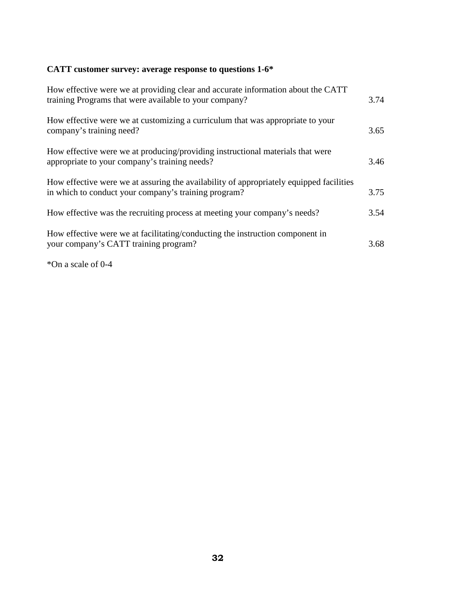# **CATT customer survey: average response to questions 1-6\***

| How effective were we at providing clear and accurate information about the CATT<br>training Programs that were available to your company?      | 3.74 |
|-------------------------------------------------------------------------------------------------------------------------------------------------|------|
| How effective were we at customizing a curriculum that was appropriate to your<br>company's training need?                                      | 3.65 |
| How effective were we at producing/providing instructional materials that were<br>appropriate to your company's training needs?                 | 3.46 |
| How effective were we at assuring the availability of appropriately equipped facilities<br>in which to conduct your company's training program? | 3.75 |
| How effective was the recruiting process at meeting your company's needs?                                                                       | 3.54 |
| How effective were we at facilitating/conducting the instruction component in<br>your company's CATT training program?                          | 3.68 |

\*On a scale of 0-4